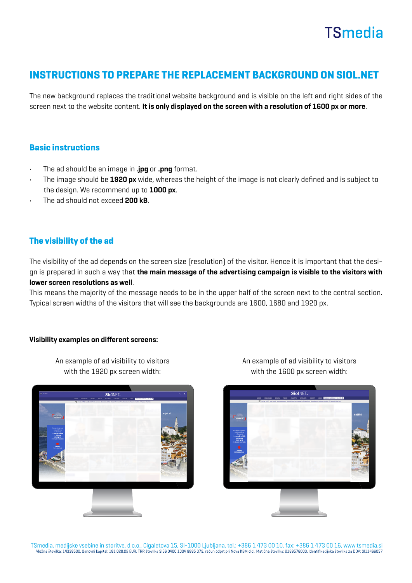## **TSmedia**

### INSTRUCTIONS TO PREPARE THE REPLACEMENT BACKGROUND ON SIOL.NET

The new background replaces the traditional website background and is visible on the left and right sides of the screen next to the website content. It is only displayed on the screen with a resolution of 1600 px or more.

#### Basic instructions

- The ad should be an image in .jpg or .png format.
- The image should be 1920 px wide, whereas the height of the image is not clearly defined and is subject to the design. We recommend up to 1000 px.
- The ad should not exceed 200 kB.

#### The visibility of the ad

The visibility of the ad depends on the screen size (resolution) of the visitor. Hence it is important that the design is prepared in such a way that the main message of the advertising campaign is visible to the visitors with lower screen resolutions as well.

This means the majority of the message needs to be in the upper half of the screen next to the central section. Typical screen widths of the visitors that will see the backgrounds are 1600, 1680 and 1920 px.

#### Visibility examples on different screens:

An example of ad visibility to visitors with the 1920 px screen width:



An example of ad visibility to visitors with the 1600 px screen width: